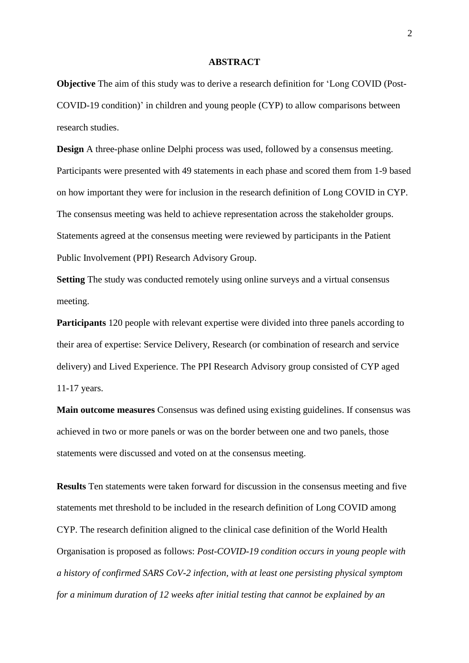#### **ABSTRACT**

**Objective** The aim of this study was to derive a research definition for 'Long COVID (Post-COVID-19 condition)' in children and young people (CYP) to allow comparisons between research studies.

**Design** A three-phase online Delphi process was used, followed by a consensus meeting. Participants were presented with 49 statements in each phase and scored them from 1-9 based on how important they were for inclusion in the research definition of Long COVID in CYP. The consensus meeting was held to achieve representation across the stakeholder groups. Statements agreed at the consensus meeting were reviewed by participants in the Patient Public Involvement (PPI) Research Advisory Group.

**Setting** The study was conducted remotely using online surveys and a virtual consensus meeting.

**Participants** 120 people with relevant expertise were divided into three panels according to their area of expertise: Service Delivery, Research (or combination of research and service delivery) and Lived Experience. The PPI Research Advisory group consisted of CYP aged 11-17 years.

**Main outcome measures** Consensus was defined using existing guidelines. If consensus was achieved in two or more panels or was on the border between one and two panels, those statements were discussed and voted on at the consensus meeting.

**Results** Ten statements were taken forward for discussion in the consensus meeting and five statements met threshold to be included in the research definition of Long COVID among CYP. The research definition aligned to the clinical case definition of the World Health Organisation is proposed as follows: *Post-COVID-19 condition occurs in young people with a history of confirmed SARS CoV-2 infection, with at least one persisting physical symptom for a minimum duration of 12 weeks after initial testing that cannot be explained by an*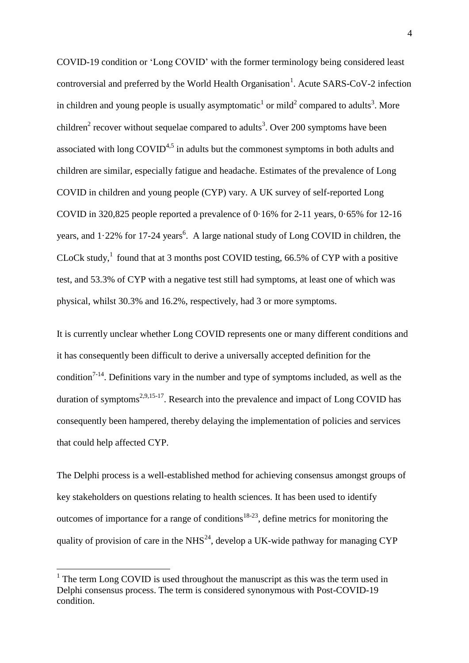COVID-19 condition or 'Long COVID' with the former terminology being considered least controversial and preferred by the World Health Organisation<sup>1</sup>. Acute SARS-CoV-2 infection in children and young people is usually asymptomatic<sup>1</sup> or mild<sup>2</sup> compared to adults<sup>3</sup>. More children<sup>2</sup> recover without sequelae compared to adults<sup>3</sup>. Over 200 symptoms have been associated with long  $\text{COVID}^{4,5}$  in adults but the commonest symptoms in both adults and children are similar, especially fatigue and headache. Estimates of the prevalence of Long COVID in children and young people (CYP) vary. A UK survey of self-reported Long COVID in 320,825 people reported a prevalence of  $0.16\%$  for 2-11 years,  $0.65\%$  for 12-16 years, and  $1.22\%$  for 17-24 years<sup>6</sup>. A large national study of Long COVID in children, the CLoCk study,<sup>1</sup> found that at 3 months post COVID testing, 66.5% of CYP with a positive test, and 53.3% of CYP with a negative test still had symptoms, at least one of which was physical, whilst 30.3% and 16.2%, respectively, had 3 or more symptoms.

It is currently unclear whether Long COVID represents one or many different conditions and it has consequently been difficult to derive a universally accepted definition for the condition<sup>7-14</sup>. Definitions vary in the number and type of symptoms included, as well as the duration of symptoms<sup>2,9,15-17</sup>. Research into the prevalence and impact of Long COVID has consequently been hampered, thereby delaying the implementation of policies and services that could help affected CYP.

The Delphi process is a well-established method for achieving consensus amongst groups of key stakeholders on questions relating to health sciences. It has been used to identify outcomes of importance for a range of conditions<sup>18-23</sup>, define metrics for monitoring the quality of provision of care in the NHS<sup>24</sup>, develop a UK-wide pathway for managing CYP

<u>.</u>

<sup>&</sup>lt;sup>1</sup> The term Long COVID is used throughout the manuscript as this was the term used in Delphi consensus process. The term is considered synonymous with Post-COVID-19 condition.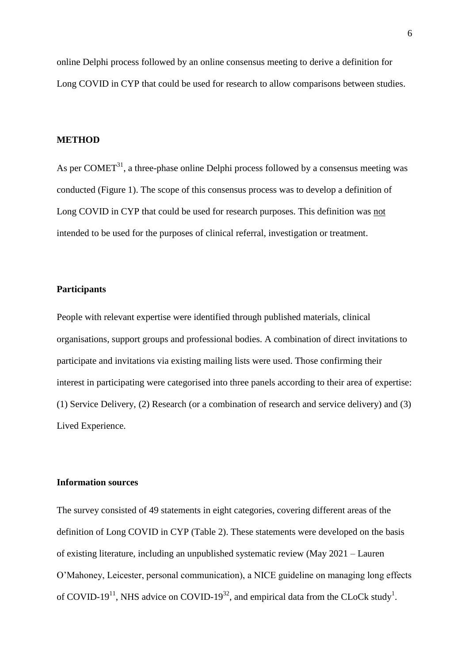online Delphi process followed by an online consensus meeting to derive a definition for Long COVID in CYP that could be used for research to allow comparisons between studies.

### **METHOD**

As per COMET<sup>31</sup>, a three-phase online Delphi process followed by a consensus meeting was conducted (Figure 1). The scope of this consensus process was to develop a definition of Long COVID in CYP that could be used for research purposes. This definition was not intended to be used for the purposes of clinical referral, investigation or treatment.

# **Participants**

People with relevant expertise were identified through published materials, clinical organisations, support groups and professional bodies. A combination of direct invitations to participate and invitations via existing mailing lists were used. Those confirming their interest in participating were categorised into three panels according to their area of expertise: (1) Service Delivery, (2) Research (or a combination of research and service delivery) and (3) Lived Experience.

# **Information sources**

The survey consisted of 49 statements in eight categories, covering different areas of the definition of Long COVID in CYP (Table 2). These statements were developed on the basis of existing literature, including an unpublished systematic review (May 2021 – Lauren O'Mahoney, Leicester, personal communication), a NICE guideline on managing long effects of COVID-19<sup>11</sup>, NHS advice on COVID-19<sup>32</sup>, and empirical data from the CLoCk study<sup>1</sup>.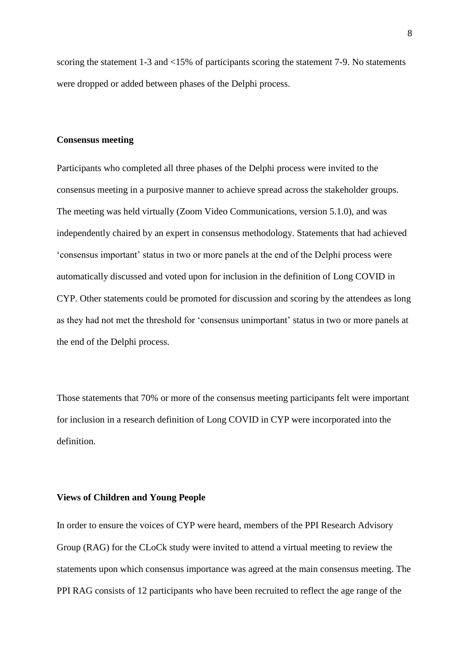scoring the statement 1-3 and <15% of participants scoring the statement 7-9. No statements were dropped or added between phases of the Delphi process.

#### **Consensus meeting**

Participants who completed all three phases of the Delphi process were invited to the consensus meeting in a purposive manner to achieve spread across the stakeholder groups. The meeting was held virtually (Zoom Video Communications, version 5.1.0), and was independently chaired by an expert in consensus methodology. Statements that had achieved 'consensus important' status in two or more panels at the end of the Delphi process were automatically discussed and voted upon for inclusion in the definition of Long COVID in CYP. Other statements could be promoted for discussion and scoring by the attendees as long as they had not met the threshold for 'consensus unimportant' status in two or more panels at the end of the Delphi process.

Those statements that 70% or more of the consensus meeting participants felt were important for inclusion in a research definition of Long COVID in CYP were incorporated into the definition.

# **Views of Children and Young People**

In order to ensure the voices of CYP were heard, members of the PPI Research Advisory Group (RAG) for the CLoCk study were invited to attend a virtual meeting to review the statements upon which consensus importance was agreed at the main consensus meeting. The PPI RAG consists of 12 participants who have been recruited to reflect the age range of the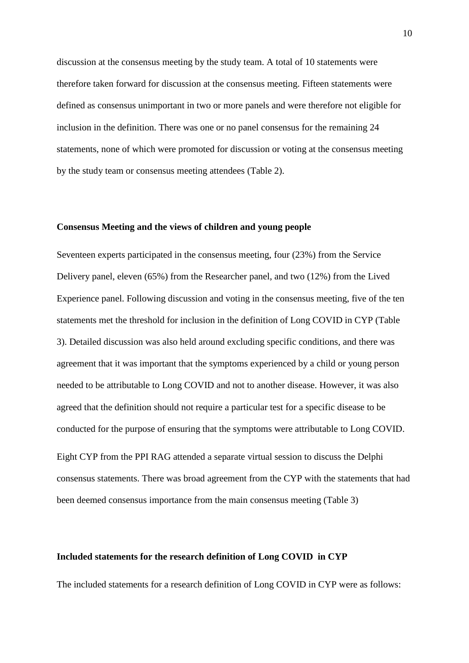discussion at the consensus meeting by the study team. A total of 10 statements were therefore taken forward for discussion at the consensus meeting. Fifteen statements were defined as consensus unimportant in two or more panels and were therefore not eligible for inclusion in the definition. There was one or no panel consensus for the remaining 24 statements, none of which were promoted for discussion or voting at the consensus meeting by the study team or consensus meeting attendees (Table 2).

#### **Consensus Meeting and the views of children and young people**

Seventeen experts participated in the consensus meeting, four (23%) from the Service Delivery panel, eleven (65%) from the Researcher panel, and two (12%) from the Lived Experience panel. Following discussion and voting in the consensus meeting, five of the ten statements met the threshold for inclusion in the definition of Long COVID in CYP (Table 3). Detailed discussion was also held around excluding specific conditions, and there was agreement that it was important that the symptoms experienced by a child or young person needed to be attributable to Long COVID and not to another disease. However, it was also agreed that the definition should not require a particular test for a specific disease to be conducted for the purpose of ensuring that the symptoms were attributable to Long COVID.

Eight CYP from the PPI RAG attended a separate virtual session to discuss the Delphi consensus statements. There was broad agreement from the CYP with the statements that had been deemed consensus importance from the main consensus meeting (Table 3)

## **Included statements for the research definition of Long COVID in CYP**

The included statements for a research definition of Long COVID in CYP were as follows: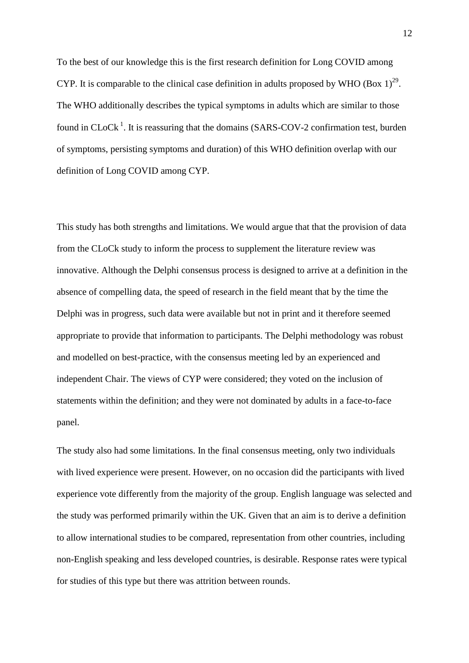To the best of our knowledge this is the first research definition for Long COVID among CYP. It is comparable to the clinical case definition in adults proposed by WHO (Box  $1)^{29}$ . The WHO additionally describes the typical symptoms in adults which are similar to those found in  $CLoCk<sup>1</sup>$ . It is reassuring that the domains (SARS-COV-2 confirmation test, burden of symptoms, persisting symptoms and duration) of this WHO definition overlap with our definition of Long COVID among CYP.

This study has both strengths and limitations. We would argue that that the provision of data from the CLoCk study to inform the process to supplement the literature review was innovative. Although the Delphi consensus process is designed to arrive at a definition in the absence of compelling data, the speed of research in the field meant that by the time the Delphi was in progress, such data were available but not in print and it therefore seemed appropriate to provide that information to participants. The Delphi methodology was robust and modelled on best-practice, with the consensus meeting led by an experienced and independent Chair. The views of CYP were considered; they voted on the inclusion of statements within the definition; and they were not dominated by adults in a face-to-face panel.

The study also had some limitations. In the final consensus meeting, only two individuals with lived experience were present. However, on no occasion did the participants with lived experience vote differently from the majority of the group. English language was selected and the study was performed primarily within the UK. Given that an aim is to derive a definition to allow international studies to be compared, representation from other countries, including non-English speaking and less developed countries, is desirable. Response rates were typical for studies of this type but there was attrition between rounds.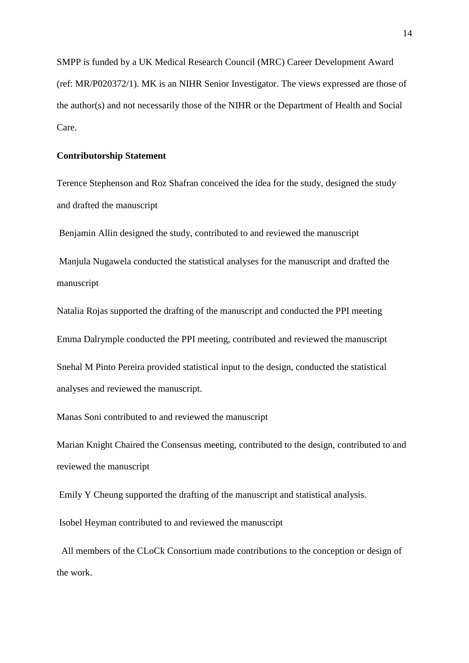SMPP is funded by a UK Medical Research Council (MRC) Career Development Award (ref: MR/P020372/1). MK is an NIHR Senior Investigator. The views expressed are those of the author(s) and not necessarily those of the NIHR or the Department of Health and Social Care.

## **Contributorship Statement**

Terence Stephenson and Roz Shafran conceived the idea for the study, designed the study and drafted the manuscript

Benjamin Allin designed the study, contributed to and reviewed the manuscript

Manjula Nugawela conducted the statistical analyses for the manuscript and drafted the manuscript

Natalia Rojas supported the drafting of the manuscript and conducted the PPI meeting Emma Dalrymple conducted the PPI meeting, contributed and reviewed the manuscript Snehal M Pinto Pereira provided statistical input to the design, conducted the statistical analyses and reviewed the manuscript.

Manas Soni contributed to and reviewed the manuscript

Marian Knight Chaired the Consensus meeting, contributed to the design, contributed to and reviewed the manuscript

Emily Y Cheung supported the drafting of the manuscript and statistical analysis.

Isobel Heyman contributed to and reviewed the manuscript

 All members of the CLoCk Consortium made contributions to the conception or design of the work.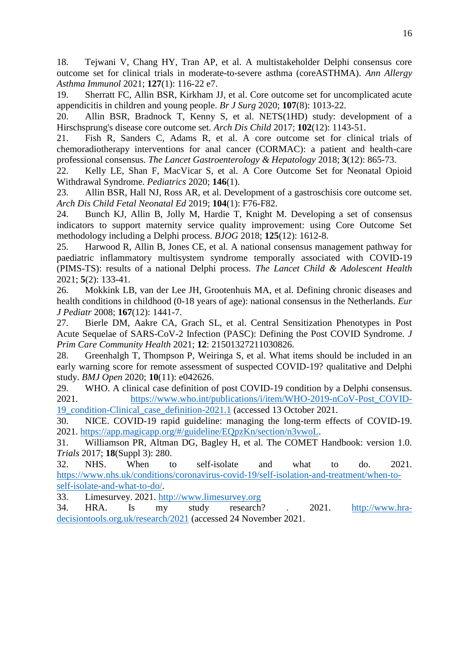18. Tejwani V, Chang HY, Tran AP, et al. A multistakeholder Delphi consensus core outcome set for clinical trials in moderate-to-severe asthma (coreASTHMA). *Ann Allergy Asthma Immunol* 2021; **127**(1): 116-22 e7.

19. Sherratt FC, Allin BSR, Kirkham JJ, et al. Core outcome set for uncomplicated acute appendicitis in children and young people. *Br J Surg* 2020; **107**(8): 1013-22.

20. Allin BSR, Bradnock T, Kenny S, et al. NETS(1HD) study: development of a Hirschsprung's disease core outcome set. *Arch Dis Child* 2017; **102**(12): 1143-51.

21. Fish R, Sanders C, Adams R, et al. A core outcome set for clinical trials of chemoradiotherapy interventions for anal cancer (CORMAC): a patient and health-care professional consensus. *The Lancet Gastroenterology & Hepatology* 2018; **3**(12): 865-73.

22. Kelly LE, Shan F, MacVicar S, et al. A Core Outcome Set for Neonatal Opioid Withdrawal Syndrome. *Pediatrics* 2020; **146**(1).

23. Allin BSR, Hall NJ, Ross AR, et al. Development of a gastroschisis core outcome set. *Arch Dis Child Fetal Neonatal Ed* 2019; **104**(1): F76-F82.

24. Bunch KJ, Allin B, Jolly M, Hardie T, Knight M. Developing a set of consensus indicators to support maternity service quality improvement: using Core Outcome Set methodology including a Delphi process. *BJOG* 2018; **125**(12): 1612-8.

25. Harwood R, Allin B, Jones CE, et al. A national consensus management pathway for paediatric inflammatory multisystem syndrome temporally associated with COVID-19 (PIMS-TS): results of a national Delphi process. *The Lancet Child & Adolescent Health* 2021; **5**(2): 133-41.

26. Mokkink LB, van der Lee JH, Grootenhuis MA, et al. Defining chronic diseases and health conditions in childhood (0-18 years of age): national consensus in the Netherlands. *Eur J Pediatr* 2008; **167**(12): 1441-7.

27. Bierle DM, Aakre CA, Grach SL, et al. Central Sensitization Phenotypes in Post Acute Sequelae of SARS-CoV-2 Infection (PASC): Defining the Post COVID Syndrome. *J Prim Care Community Health* 2021; **12**: 21501327211030826.

28. Greenhalgh T, Thompson P, Weiringa S, et al. What items should be included in an early warning score for remote assessment of suspected COVID-19? qualitative and Delphi study. *BMJ Open* 2020; **10**(11): e042626.

29. WHO. A clinical case definition of post COVID-19 condition by a Delphi consensus. 2021. [https://www.who.int/publications/i/item/WHO-2019-nCoV-Post\\_COVID-](https://www.who.int/publications/i/item/WHO-2019-nCoV-Post_COVID-19_condition-Clinical_case_definition-2021.1)[19\\_condition-Clinical\\_case\\_definition-2021.1](https://www.who.int/publications/i/item/WHO-2019-nCoV-Post_COVID-19_condition-Clinical_case_definition-2021.1) (accessed 13 October 2021.

30. NICE. COVID-19 rapid guideline: managing the long-term effects of COVID-19. 2021. [https://app.magicapp.org/#/guideline/EQpzKn/section/n3vwoL.](https://app.magicapp.org/#/guideline/EQpzKn/section/n3vwoL)

31. Williamson PR, Altman DG, Bagley H, et al. The COMET Handbook: version 1.0. *Trials* 2017; **18**(Suppl 3): 280.

32. NHS. When to self-isolate and what to do. 2021. [https://www.nhs.uk/conditions/coronavirus-covid-19/self-isolation-and-treatment/when-to](https://www.nhs.uk/conditions/coronavirus-covid-19/self-isolation-and-treatment/when-to-self-isolate-and-what-to-do/)[self-isolate-and-what-to-do/.](https://www.nhs.uk/conditions/coronavirus-covid-19/self-isolation-and-treatment/when-to-self-isolate-and-what-to-do/)

33. Limesurvey. 2021. [http://www.limesurvey.org](http://www.limesurvey.org/)

34. HRA. Is my study research? . 2021. [http://www.hra](http://www.hra-decisiontools.org.uk/research/2021)[decisiontools.org.uk/research/2021](http://www.hra-decisiontools.org.uk/research/2021) (accessed 24 November 2021.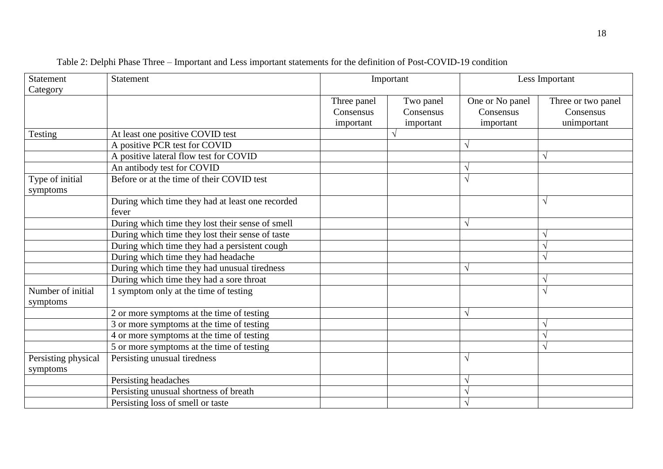| <b>Statement</b><br>Category    | Statement                                                 | Important                             |                                     | Less Important                            |                                                |
|---------------------------------|-----------------------------------------------------------|---------------------------------------|-------------------------------------|-------------------------------------------|------------------------------------------------|
|                                 |                                                           | Three panel<br>Consensus<br>important | Two panel<br>Consensus<br>important | One or No panel<br>Consensus<br>important | Three or two panel<br>Consensus<br>unimportant |
| Testing                         | At least one positive COVID test                          |                                       |                                     |                                           |                                                |
|                                 | A positive PCR test for COVID                             |                                       |                                     | $\sqrt{}$                                 |                                                |
|                                 | A positive lateral flow test for COVID                    |                                       |                                     |                                           | N                                              |
|                                 | An antibody test for COVID                                |                                       |                                     | ٦                                         |                                                |
| Type of initial<br>symptoms     | Before or at the time of their COVID test                 |                                       |                                     | $\sqrt{ }$                                |                                                |
|                                 | During which time they had at least one recorded<br>fever |                                       |                                     |                                           | $\sqrt{ }$                                     |
|                                 | During which time they lost their sense of smell          |                                       |                                     | $\sqrt{ }$                                |                                                |
|                                 | During which time they lost their sense of taste          |                                       |                                     |                                           | N                                              |
|                                 | During which time they had a persistent cough             |                                       |                                     |                                           | N                                              |
|                                 | During which time they had headache                       |                                       |                                     |                                           | $\sqrt{}$                                      |
|                                 | During which time they had unusual tiredness              |                                       |                                     | $\sqrt{}$                                 |                                                |
|                                 | During which time they had a sore throat                  |                                       |                                     |                                           | $\sqrt{ }$                                     |
| Number of initial<br>symptoms   | 1 symptom only at the time of testing                     |                                       |                                     |                                           | $\sqrt{ }$                                     |
|                                 | 2 or more symptoms at the time of testing                 |                                       |                                     | $\sqrt{ }$                                |                                                |
|                                 | 3 or more symptoms at the time of testing                 |                                       |                                     |                                           | N                                              |
|                                 | 4 or more symptoms at the time of testing                 |                                       |                                     |                                           | $\mathcal{N}$                                  |
|                                 | 5 or more symptoms at the time of testing                 |                                       |                                     |                                           | N                                              |
| Persisting physical<br>symptoms | Persisting unusual tiredness                              |                                       |                                     | $\sqrt{ }$                                |                                                |
|                                 | Persisting headaches                                      |                                       |                                     | $\sqrt{}$                                 |                                                |
|                                 | Persisting unusual shortness of breath                    |                                       |                                     | $\sqrt{}$                                 |                                                |
|                                 | Persisting loss of smell or taste                         |                                       |                                     | $\sqrt{ }$                                |                                                |

| Table 2: Delphi Phase Three – Important and Less important statements for the definition of Post-COVID-19 condition |  |  |  |
|---------------------------------------------------------------------------------------------------------------------|--|--|--|
|                                                                                                                     |  |  |  |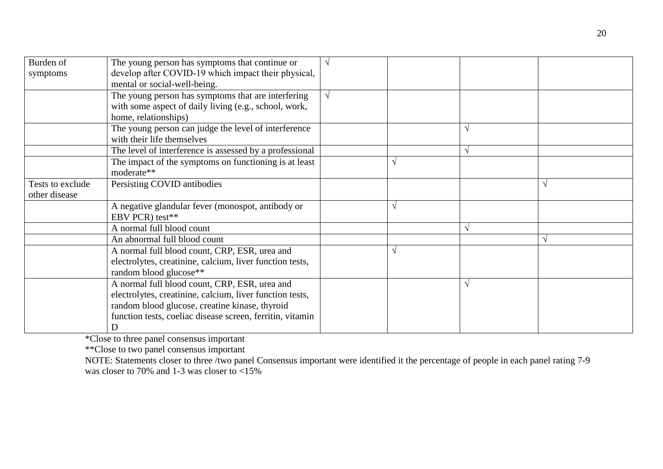| Burden of        | The young person has symptoms that continue or            | $\sqrt{ }$ |            |              |
|------------------|-----------------------------------------------------------|------------|------------|--------------|
| symptoms         | develop after COVID-19 which impact their physical,       |            |            |              |
|                  | mental or social-well-being.                              |            |            |              |
|                  | The young person has symptoms that are interfering        | $\sqrt{ }$ |            |              |
|                  | with some aspect of daily living (e.g., school, work,     |            |            |              |
|                  | home, relationships)                                      |            |            |              |
|                  | The young person can judge the level of interference      |            |            |              |
|                  | with their life themselves                                |            |            |              |
|                  | The level of interference is assessed by a professional   |            |            |              |
|                  | The impact of the symptoms on functioning is at least     |            |            |              |
|                  | moderate**                                                |            |            |              |
| Tests to exclude | Persisting COVID antibodies                               |            |            | $\mathcal N$ |
| other disease    |                                                           |            |            |              |
|                  | A negative glandular fever (monospot, antibody or         |            |            |              |
|                  | EBV PCR) test**                                           |            |            |              |
|                  | A normal full blood count                                 |            | $\sqrt{ }$ |              |
|                  | An abnormal full blood count                              |            |            |              |
|                  | A normal full blood count, CRP, ESR, urea and             |            |            |              |
|                  | electrolytes, creatinine, calcium, liver function tests,  |            |            |              |
|                  | random blood glucose**                                    |            |            |              |
|                  | A normal full blood count, CRP, ESR, urea and             |            |            |              |
|                  | electrolytes, creatinine, calcium, liver function tests,  |            |            |              |
|                  | random blood glucose, creatine kinase, thyroid            |            |            |              |
|                  | function tests, coeliac disease screen, ferritin, vitamin |            |            |              |
|                  | D                                                         |            |            |              |

\*Close to three panel consensus important

\*\*Close to two panel consensus important

NOTE: Statements closer to three /two panel Consensus important were identified it the percentage of people in each panel rating 7-9 was closer to 70% and 1-3 was closer to  $\lt 15\%$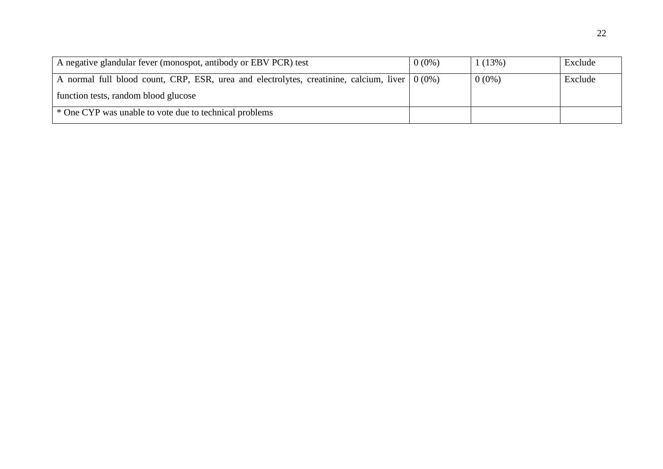| A negative glandular fever (monospot, antibody or EBV PCR) test                                  | $0(0\%)$ | (13%)    | Exclude |
|--------------------------------------------------------------------------------------------------|----------|----------|---------|
| A normal full blood count, CRP, ESR, urea and electrolytes, creatinine, calcium, liver $(0.0\%)$ |          | $0(0\%)$ | Exclude |
| function tests, random blood glucose                                                             |          |          |         |
| * One CYP was unable to vote due to technical problems                                           |          |          |         |